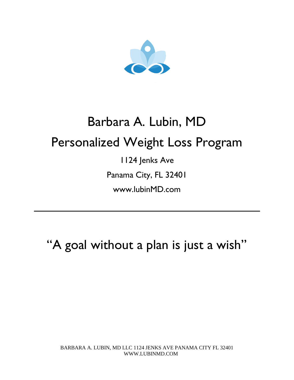

# Barbara A. Lubin, MD Personalized Weight Loss Program

1124 Jenks Ave Panama City, FL 32401

www.lubinMD.com

"A goal without a plan is just a wish"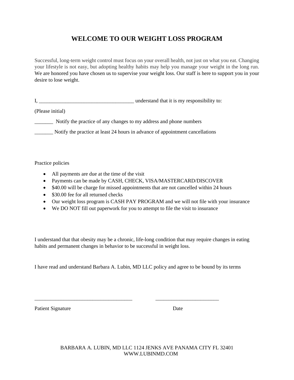# **WELCOME TO OUR WEIGHT LOSS PROGRAM**

Successful, long-term weight control must focus on your overall health, not just on what you eat. Changing your lifestyle is not easy, but adopting healthy habits may help you manage your weight in the long run. We are honored you have chosen us to supervise your weight loss. Our staff is here to support you in your desire to lose weight.

I, and in the understand that it is my responsibility to:

(Please initial)

\_\_\_\_\_\_\_ Notify the practice of any changes to my address and phone numbers

\_\_\_\_\_\_\_ Notify the practice at least 24 hours in advance of appointment cancellations

Practice policies

- All payments are due at the time of the visit
- Payments can be made by CASH, CHECK, VISA/MASTERCARD/DISCOVER
- \$40.00 will be charge for missed appointments that are not cancelled within 24 hours
- \$30.00 fee for all returned checks
- Our weight loss program is CASH PAY PROGRAM and we will not file with your insurance
- We DO NOT fill out paperwork for you to attempt to file the visit to insurance

I understand that that obesity may be a chronic, life-long condition that may require changes in eating habits and permanent changes in behavior to be successful in weight loss.

I have read and understand Barbara A. Lubin, MD LLC policy and agree to be bound by its terms

\_\_\_\_\_\_\_\_\_\_\_\_\_\_\_\_\_\_\_\_\_\_\_\_\_\_\_\_\_\_\_\_\_\_\_\_\_ \_\_\_\_\_\_\_\_\_\_\_\_\_\_\_\_\_\_\_\_\_\_\_\_

Patient Signature Date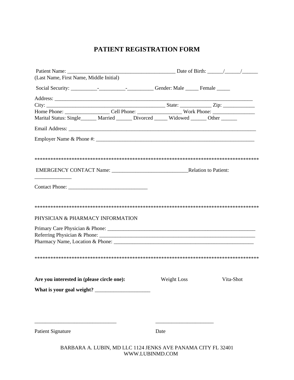## **PATIENT REGISTRATION FORM**

| (Last Name, First Name, Middle Initial)                                              |             |           |
|--------------------------------------------------------------------------------------|-------------|-----------|
|                                                                                      |             |           |
|                                                                                      |             |           |
|                                                                                      |             |           |
|                                                                                      |             |           |
| Marital Status: Single______ Married ______ Divorced _____ Widowed _____ Other _____ |             |           |
|                                                                                      |             |           |
|                                                                                      |             |           |
|                                                                                      |             |           |
|                                                                                      |             |           |
| PHYSICIAN & PHARMACY INFORMATION                                                     |             |           |
|                                                                                      |             |           |
| Are you interested in (please circle one):                                           | Weight Loss | Vita-Shot |
|                                                                                      |             |           |
|                                                                                      |             |           |
| <b>Patient Signature</b>                                                             | Date        |           |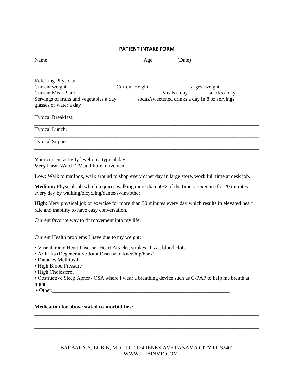#### **PATIENT INTAKE FORM**

|  | <b>N</b> T<br>. | $\sim$<br>- | . |
|--|-----------------|-------------|---|
|--|-----------------|-------------|---|

| Current weight ______________________Current Height ________________Largest weight ________________  |  |  |  |
|------------------------------------------------------------------------------------------------------|--|--|--|
|                                                                                                      |  |  |  |
| Servings of fruits and vegetables a day _______ sodas/sweetened drinks a day in 8 oz servings ______ |  |  |  |
| <b>Typical Breakfast:</b>                                                                            |  |  |  |
| <b>Typical Lunch:</b>                                                                                |  |  |  |
| <b>Typical Supper:</b>                                                                               |  |  |  |

Your current activity level on a typical day: **Very Low:** Watch TV and little movement

**Low:** Walk to mailbox, walk around to shop every other day in large store, work full time at desk job.

**Medium:** Physical job which requires walking more than 50% of the time or exercise for 20 minutes every day by walking/bicycling/dance/swim/other.

**High:** Very physical job or exercise for more than 30 minutes every day which results in elevated heart rate and inability to have easy conversation.

\_\_\_\_\_\_\_\_\_\_\_\_\_\_\_\_\_\_\_\_\_\_\_\_\_\_\_\_\_\_\_\_\_\_\_\_\_\_\_\_\_\_\_\_\_\_\_\_\_\_\_\_\_\_\_\_\_\_\_\_\_\_\_\_\_\_\_\_\_\_\_\_\_\_\_\_\_\_\_\_\_\_\_\_

Current favorite way to fit movement into my life:

#### Current Health problems I have due to my weight:

- Vascular and Heart Disease- Heart Attacks, strokes, TIAs, blood clots
- Arthritis (Degenerative Joint Disease of knee/hip/back)
- Diabetes Mellitus II
- High Blood Pressure
- High Cholesterol
- Obstructive Sleep Apnea- OSA where I wear a breathing device such as C-PAP to help me breath at night
- Other:

#### **Medication for above stated co-morbidities:**

\_\_\_\_\_\_\_\_\_\_\_\_\_\_\_\_\_\_\_\_\_\_\_\_\_\_\_\_\_\_\_\_\_\_\_\_\_\_\_\_\_\_\_\_\_\_\_\_\_\_\_\_\_\_\_\_\_\_\_\_\_\_\_\_\_\_\_\_\_\_\_\_\_\_\_\_\_\_\_\_\_\_\_\_\_ \_\_\_\_\_\_\_\_\_\_\_\_\_\_\_\_\_\_\_\_\_\_\_\_\_\_\_\_\_\_\_\_\_\_\_\_\_\_\_\_\_\_\_\_\_\_\_\_\_\_\_\_\_\_\_\_\_\_\_\_\_\_\_\_\_\_\_\_\_\_\_\_\_\_\_\_\_\_\_\_\_\_\_\_\_ \_\_\_\_\_\_\_\_\_\_\_\_\_\_\_\_\_\_\_\_\_\_\_\_\_\_\_\_\_\_\_\_\_\_\_\_\_\_\_\_\_\_\_\_\_\_\_\_\_\_\_\_\_\_\_\_\_\_\_\_\_\_\_\_\_\_\_\_\_\_\_\_\_\_\_\_\_\_\_\_\_\_\_\_\_ \_\_\_\_\_\_\_\_\_\_\_\_\_\_\_\_\_\_\_\_\_\_\_\_\_\_\_\_\_\_\_\_\_\_\_\_\_\_\_\_\_\_\_\_\_\_\_\_\_\_\_\_\_\_\_\_\_\_\_\_\_\_\_\_\_\_\_\_\_\_\_\_\_\_\_\_\_\_\_\_\_\_\_\_\_